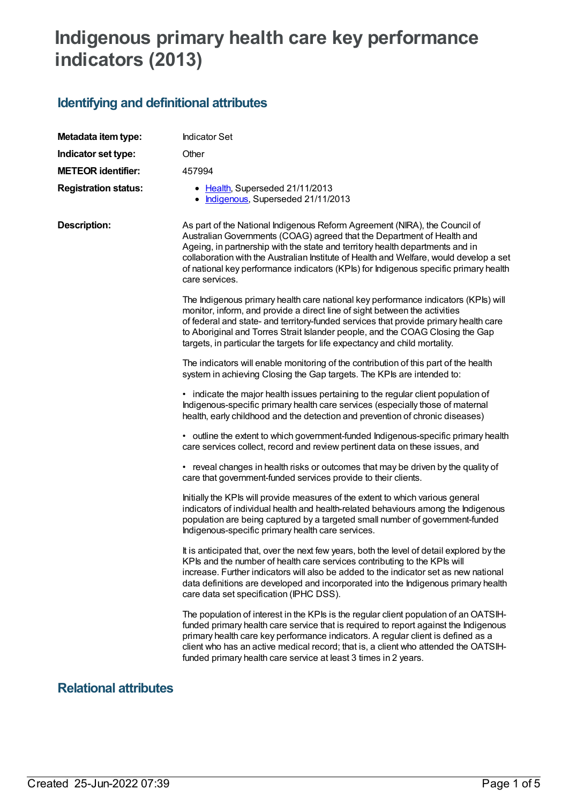# **Indigenous primary health care key performance indicators (2013)**

### **Identifying and definitional attributes**

| Metadata item type:         | <b>Indicator Set</b>                                                                                                                                                                                                                                                                                                                                                                                                                      |  |
|-----------------------------|-------------------------------------------------------------------------------------------------------------------------------------------------------------------------------------------------------------------------------------------------------------------------------------------------------------------------------------------------------------------------------------------------------------------------------------------|--|
| Indicator set type:         | Other                                                                                                                                                                                                                                                                                                                                                                                                                                     |  |
| <b>METEOR identifier:</b>   | 457994                                                                                                                                                                                                                                                                                                                                                                                                                                    |  |
| <b>Registration status:</b> | • Health, Superseded 21/11/2013<br>Indigenous, Superseded 21/11/2013                                                                                                                                                                                                                                                                                                                                                                      |  |
| <b>Description:</b>         | As part of the National Indigenous Reform Agreement (NIRA), the Council of<br>Australian Governments (COAG) agreed that the Department of Health and<br>Ageing, in partnership with the state and territory health departments and in<br>collaboration with the Australian Institute of Health and Welfare, would develop a set<br>of national key performance indicators (KPIs) for Indigenous specific primary health<br>care services. |  |
|                             | The Indigenous primary health care national key performance indicators (KPIs) will<br>monitor, inform, and provide a direct line of sight between the activities<br>of federal and state- and territory-funded services that provide primary health care<br>to Aboriginal and Torres Strait Islander people, and the COAG Closing the Gap<br>targets, in particular the targets for life expectancy and child mortality.                  |  |
|                             | The indicators will enable monitoring of the contribution of this part of the health<br>system in achieving Closing the Gap targets. The KPIs are intended to:                                                                                                                                                                                                                                                                            |  |
|                             | • indicate the major health issues pertaining to the regular client population of<br>Indigenous-specific primary health care services (especially those of maternal<br>health, early childhood and the detection and prevention of chronic diseases)                                                                                                                                                                                      |  |
|                             | • outline the extent to which government-funded Indigenous-specific primary health<br>care services collect, record and review pertinent data on these issues, and                                                                                                                                                                                                                                                                        |  |
|                             | • reveal changes in health risks or outcomes that may be driven by the quality of<br>care that government-funded services provide to their clients.                                                                                                                                                                                                                                                                                       |  |
|                             | Initially the KPIs will provide measures of the extent to which various general<br>indicators of individual health and health-related behaviours among the Indigenous<br>population are being captured by a targeted small number of government-funded<br>Indigenous-specific primary health care services.                                                                                                                               |  |
|                             | It is anticipated that, over the next few years, both the level of detail explored by the<br>KPIs and the number of health care services contributing to the KPIs will<br>increase. Further indicators will also be added to the indicator set as new national<br>data definitions are developed and incorporated into the Indigenous primary health<br>care data set specification (IPHC DSS).                                           |  |
|                             | The population of interest in the KPIs is the regular client population of an OATSIH-<br>funded primary health care service that is required to report against the Indigenous<br>primary health care key performance indicators. A regular client is defined as a<br>client who has an active medical record; that is, a client who attended the OATSIH-<br>funded primary health care service at least 3 times in 2 years.               |  |

#### **Relational attributes**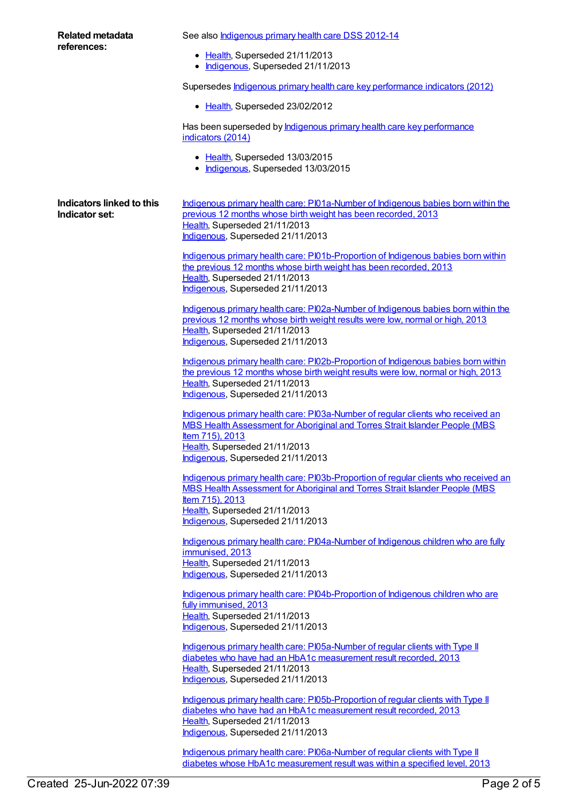| <b>Related metadata</b><br>references:      | See also <b>Indigenous primary health care DSS 2012-14</b>                                                                                                                                                                                                  |
|---------------------------------------------|-------------------------------------------------------------------------------------------------------------------------------------------------------------------------------------------------------------------------------------------------------------|
|                                             | • Health, Superseded 21/11/2013<br>• Indigenous, Superseded 21/11/2013                                                                                                                                                                                      |
|                                             | Supersedes <b>Indigenous primary health care key performance indicators (2012)</b>                                                                                                                                                                          |
|                                             | • Health, Superseded 23/02/2012                                                                                                                                                                                                                             |
|                                             | Has been superseded by <b>Indigenous primary health care key performance</b><br>indicators (2014)                                                                                                                                                           |
|                                             | • Health, Superseded 13/03/2015<br>• Indigenous, Superseded 13/03/2015                                                                                                                                                                                      |
| Indicators linked to this<br>Indicator set: | Indigenous primary health care: PI01a-Number of Indigenous babies born within the<br>previous 12 months whose birth weight has been recorded, 2013<br>Health, Superseded 21/11/2013<br>Indigenous, Superseded 21/11/2013                                    |
|                                             | Indigenous primary health care: PI01b-Proportion of Indigenous babies born within<br>the previous 12 months whose birth weight has been recorded, 2013<br>Health, Superseded 21/11/2013<br>Indigenous, Superseded 21/11/2013                                |
|                                             | Indigenous primary health care: PI02a-Number of Indigenous babies born within the<br>previous 12 months whose birth weight results were low, normal or high, 2013<br>Health, Superseded 21/11/2013<br>Indigenous, Superseded 21/11/2013                     |
|                                             | Indigenous primary health care: PI02b-Proportion of Indigenous babies born within<br>the previous 12 months whose birth weight results were low, normal or high, 2013<br>Health, Superseded 21/11/2013<br>Indigenous, Superseded 21/11/2013                 |
|                                             | Indigenous primary health care: PI03a-Number of regular clients who received an<br>MBS Health Assessment for Aboriginal and Torres Strait Islander People (MBS<br>Item 715), 2013<br>Health, Superseded 21/11/2013<br>Indigenous, Superseded 21/11/2013     |
|                                             | Indigenous primary health care: PI03b-Proportion of regular clients who received an<br>MBS Health Assessment for Aboriginal and Torres Strait Islander People (MBS<br>Item 715), 2013<br>Health, Superseded 21/11/2013<br>Indigenous, Superseded 21/11/2013 |
|                                             | Indigenous primary health care: PI04a-Number of Indigenous children who are fully<br>immunised, 2013<br>Health, Superseded 21/11/2013<br>Indigenous, Superseded 21/11/2013                                                                                  |
|                                             | Indigenous primary health care: PI04b-Proportion of Indigenous children who are<br>fully immunised, 2013<br>Health, Superseded 21/11/2013<br>Indigenous, Superseded 21/11/2013                                                                              |
|                                             | Indigenous primary health care: PI05a-Number of regular clients with Type II<br>diabetes who have had an HbA1c measurement result recorded, 2013<br>Health, Superseded 21/11/2013<br>Indigenous, Superseded 21/11/2013                                      |
|                                             | Indigenous primary health care: PI05b-Proportion of regular clients with Type II<br>diabetes who have had an HbA1c measurement result recorded, 2013<br>Health, Superseded 21/11/2013<br>Indigenous, Superseded 21/11/2013                                  |
|                                             | Indigenous primary health care: PI06a-Number of regular clients with Type II<br>diabetes whose HbA1c measurement result was within a specified level, 2013                                                                                                  |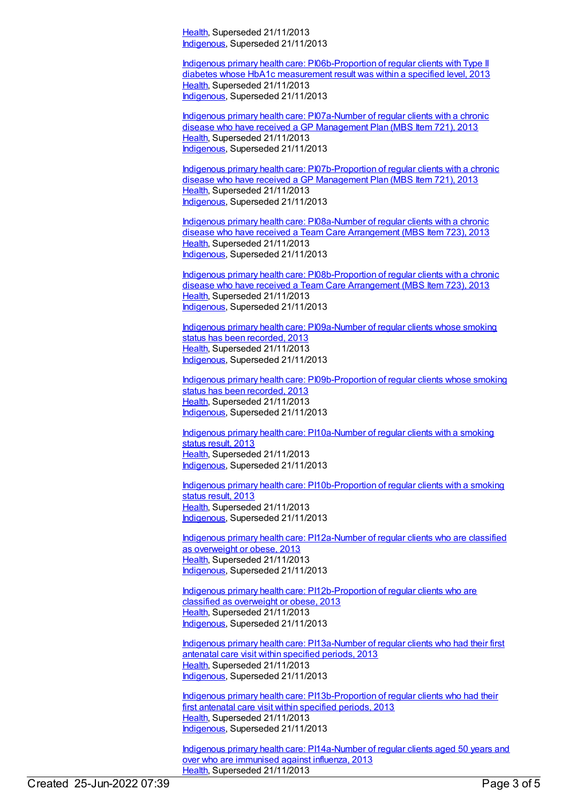[Health](https://meteor.aihw.gov.au/RegistrationAuthority/12), Superseded 21/11/2013 [Indigenous](https://meteor.aihw.gov.au/RegistrationAuthority/6), Superseded 21/11/2013

Indigenous primary health care: [PI06b-Proportion](https://meteor.aihw.gov.au/content/468100) of regular clients with Type II diabetes whose HbA1c measurement result was within a specified level, 2013 [Health](https://meteor.aihw.gov.au/RegistrationAuthority/12), Superseded 21/11/2013 [Indigenous](https://meteor.aihw.gov.au/RegistrationAuthority/6), Superseded 21/11/2013

Indigenous primary health care: [PI07a-Number](https://meteor.aihw.gov.au/content/468102) of regular clients with a chronic disease who have received a GP Management Plan (MBS Item 721), 2013 [Health](https://meteor.aihw.gov.au/RegistrationAuthority/12), Superseded 21/11/2013 [Indigenous](https://meteor.aihw.gov.au/RegistrationAuthority/6), Superseded 21/11/2013

Indigenous primary health care: [PI07b-Proportion](https://meteor.aihw.gov.au/content/468104) of regular clients with a chronic disease who have received a GP Management Plan (MBS Item 721), 2013 [Health](https://meteor.aihw.gov.au/RegistrationAuthority/12), Superseded 21/11/2013 [Indigenous](https://meteor.aihw.gov.au/RegistrationAuthority/6), Superseded 21/11/2013

Indigenous primary health care: [PI08a-Number](https://meteor.aihw.gov.au/content/468106) of regular clients with a chronic disease who have received a Team Care Arrangement (MBS Item 723), 2013 [Health](https://meteor.aihw.gov.au/RegistrationAuthority/12), Superseded 21/11/2013 [Indigenous](https://meteor.aihw.gov.au/RegistrationAuthority/6), Superseded 21/11/2013

Indigenous primary health care: [PI08b-Proportion](https://meteor.aihw.gov.au/content/468108) of regular clients with a chronic disease who have received a Team Care Arrangement (MBS Item 723), 2013 [Health](https://meteor.aihw.gov.au/RegistrationAuthority/12), Superseded 21/11/2013 [Indigenous](https://meteor.aihw.gov.au/RegistrationAuthority/6), Superseded 21/11/2013

Indigenous primary health care: [PI09a-Number](https://meteor.aihw.gov.au/content/468111) of regular clients whose smoking status has been recorded, 2013 [Health](https://meteor.aihw.gov.au/RegistrationAuthority/12), Superseded 21/11/2013 [Indigenous](https://meteor.aihw.gov.au/RegistrationAuthority/6), Superseded 21/11/2013

Indigenous primary health care: [PI09b-Proportion](https://meteor.aihw.gov.au/content/468114) of regular clients whose smoking status has been recorded, 2013 [Health](https://meteor.aihw.gov.au/RegistrationAuthority/12), Superseded 21/11/2013 [Indigenous](https://meteor.aihw.gov.au/RegistrationAuthority/6), Superseded 21/11/2013

Indigenous primary health care: [PI10a-Number](https://meteor.aihw.gov.au/content/431736) of regular clients with a smoking status result, 2013 [Health](https://meteor.aihw.gov.au/RegistrationAuthority/12), Superseded 21/11/2013 [Indigenous](https://meteor.aihw.gov.au/RegistrationAuthority/6), Superseded 21/11/2013

Indigenous primary health care: [PI10b-Proportion](https://meteor.aihw.gov.au/content/441560) of regular clients with a smoking status result, 2013 [Health](https://meteor.aihw.gov.au/RegistrationAuthority/12), Superseded 21/11/2013 [Indigenous](https://meteor.aihw.gov.au/RegistrationAuthority/6), Superseded 21/11/2013

Indigenous primary health care: [PI12a-Number](https://meteor.aihw.gov.au/content/468117) of regular clients who are classified as overweight or obese, 2013 [Health](https://meteor.aihw.gov.au/RegistrationAuthority/12), Superseded 21/11/2013 [Indigenous](https://meteor.aihw.gov.au/RegistrationAuthority/6), Superseded 21/11/2013

Indigenous primary health care: [PI12b-Proportion](https://meteor.aihw.gov.au/content/468119) of regular clients who are classified as overweight or obese, 2013 [Health](https://meteor.aihw.gov.au/RegistrationAuthority/12), Superseded 21/11/2013 [Indigenous](https://meteor.aihw.gov.au/RegistrationAuthority/6), Superseded 21/11/2013

Indigenous primary health care: [PI13a-Number](https://meteor.aihw.gov.au/content/438086) of regular clients who had their first antenatal care visit within specified periods, 2013 [Health](https://meteor.aihw.gov.au/RegistrationAuthority/12), Superseded 21/11/2013 [Indigenous](https://meteor.aihw.gov.au/RegistrationAuthority/6), Superseded 21/11/2013

Indigenous primary health care: [PI13b-Proportion](https://meteor.aihw.gov.au/content/438089) of regular clients who had their first antenatal care visit within specified periods, 2013 [Health](https://meteor.aihw.gov.au/RegistrationAuthority/12), Superseded 21/11/2013 [Indigenous](https://meteor.aihw.gov.au/RegistrationAuthority/6), Superseded 21/11/2013

Indigenous primary health care: [PI14a-Number](https://meteor.aihw.gov.au/content/441429) of regular clients aged 50 years and over who are immunised against influenza, 2013 [Health](https://meteor.aihw.gov.au/RegistrationAuthority/12), Superseded 21/11/2013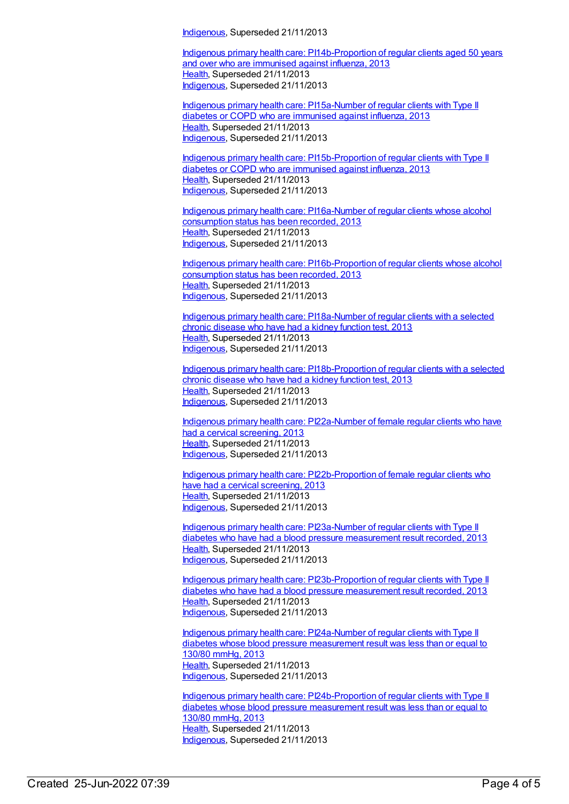[Indigenous](https://meteor.aihw.gov.au/RegistrationAuthority/6), Superseded 21/11/2013

Indigenous primary health care: [PI14b-Proportion](https://meteor.aihw.gov.au/content/441433) of regular clients aged 50 years and over who are immunised against influenza, 2013 [Health](https://meteor.aihw.gov.au/RegistrationAuthority/12), Superseded 21/11/2013 [Indigenous](https://meteor.aihw.gov.au/RegistrationAuthority/6), Superseded 21/11/2013

Indigenous primary health care: [PI15a-Number](https://meteor.aihw.gov.au/content/438117) of regular clients with Type II diabetes or COPD who are immunised against influenza, 2013 [Health](https://meteor.aihw.gov.au/RegistrationAuthority/12), Superseded 21/11/2013 [Indigenous](https://meteor.aihw.gov.au/RegistrationAuthority/6), Superseded 21/11/2013

Indigenous primary health care: [PI15b-Proportion](https://meteor.aihw.gov.au/content/438127) of regular clients with Type II diabetes or COPD who are immunised against influenza, 2013 [Health](https://meteor.aihw.gov.au/RegistrationAuthority/12), Superseded 21/11/2013 [Indigenous](https://meteor.aihw.gov.au/RegistrationAuthority/6), Superseded 21/11/2013

Indigenous primary health care: [PI16a-Number](https://meteor.aihw.gov.au/content/468121) of regular clients whose alcohol consumption status has been recorded, 2013 [Health](https://meteor.aihw.gov.au/RegistrationAuthority/12), Superseded 21/11/2013 [Indigenous](https://meteor.aihw.gov.au/RegistrationAuthority/6), Superseded 21/11/2013

Indigenous primary health care: [PI16b-Proportion](https://meteor.aihw.gov.au/content/468123) of regular clients whose alcohol consumption status has been recorded, 2013 [Health](https://meteor.aihw.gov.au/RegistrationAuthority/12), Superseded 21/11/2013 [Indigenous](https://meteor.aihw.gov.au/RegistrationAuthority/6), Superseded 21/11/2013

Indigenous primary health care: [PI18a-Number](https://meteor.aihw.gov.au/content/438141) of regular clients with a selected chronic disease who have had a kidney function test, 2013 [Health](https://meteor.aihw.gov.au/RegistrationAuthority/12), Superseded 21/11/2013 [Indigenous](https://meteor.aihw.gov.au/RegistrationAuthority/6), Superseded 21/11/2013

Indigenous primary health care: [PI18b-Proportion](https://meteor.aihw.gov.au/content/438145) of regular clients with a selected chronic disease who have had a kidney function test, 2013 [Health](https://meteor.aihw.gov.au/RegistrationAuthority/12), Superseded 21/11/2013 [Indigenous](https://meteor.aihw.gov.au/RegistrationAuthority/6), Superseded 21/11/2013

Indigenous primary health care: [PI22a-Number](https://meteor.aihw.gov.au/content/438211) of female regular clients who have had a cervical screening, 2013 [Health](https://meteor.aihw.gov.au/RegistrationAuthority/12), Superseded 21/11/2013 [Indigenous](https://meteor.aihw.gov.au/RegistrationAuthority/6), Superseded 21/11/2013

Indigenous primary health care: [PI22b-Proportion](https://meteor.aihw.gov.au/content/438215) of female regular clients who have had a cervical screening, 2013 [Health](https://meteor.aihw.gov.au/RegistrationAuthority/12), Superseded 21/11/2013 [Indigenous](https://meteor.aihw.gov.au/RegistrationAuthority/6), Superseded 21/11/2013

Indigenous primary health care: [PI23a-Number](https://meteor.aihw.gov.au/content/468125) of regular clients with Type II diabetes who have had a blood pressure measurement result recorded, 2013 [Health](https://meteor.aihw.gov.au/RegistrationAuthority/12), Superseded 21/11/2013 [Indigenous](https://meteor.aihw.gov.au/RegistrationAuthority/6), Superseded 21/11/2013

Indigenous primary health care: [PI23b-Proportion](https://meteor.aihw.gov.au/content/468128) of regular clients with Type II diabetes who have had a blood pressure measurement result recorded, 2013 [Health](https://meteor.aihw.gov.au/RegistrationAuthority/12), Superseded 21/11/2013 [Indigenous](https://meteor.aihw.gov.au/RegistrationAuthority/6), Superseded 21/11/2013

Indigenous primary health care: [PI24a-Number](https://meteor.aihw.gov.au/content/468130) of regular clients with Type II diabetes whose blood pressure measurement result was less than or equal to 130/80 mmHg, 2013 [Health](https://meteor.aihw.gov.au/RegistrationAuthority/12), Superseded 21/11/2013 [Indigenous](https://meteor.aihw.gov.au/RegistrationAuthority/6), Superseded 21/11/2013

Indigenous primary health care: [PI24b-Proportion](https://meteor.aihw.gov.au/content/468134) of regular clients with Type II diabetes whose blood pressure measurement result was less than or equal to 130/80 mmHg, 2013 [Health](https://meteor.aihw.gov.au/RegistrationAuthority/12), Superseded 21/11/2013 [Indigenous](https://meteor.aihw.gov.au/RegistrationAuthority/6), Superseded 21/11/2013